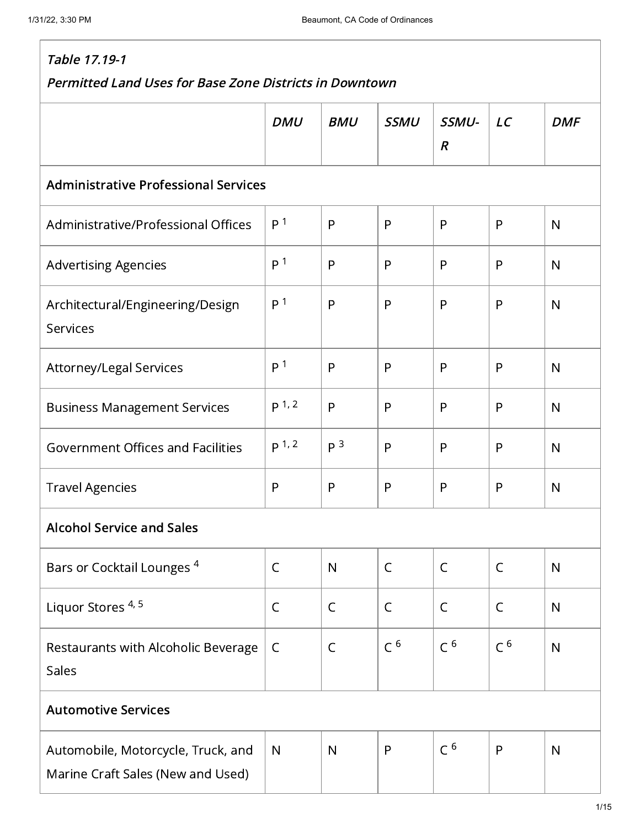| Table 17.19-1                                                           |                  |                |                |                           |                |              |  |  |
|-------------------------------------------------------------------------|------------------|----------------|----------------|---------------------------|----------------|--------------|--|--|
| <b>Permitted Land Uses for Base Zone Districts in Downtown</b>          |                  |                |                |                           |                |              |  |  |
|                                                                         | <b>DMU</b>       | <b>BMU</b>     | <b>SSMU</b>    | SSMU-<br>$\boldsymbol{R}$ | LC             | <b>DMF</b>   |  |  |
| <b>Administrative Professional Services</b>                             |                  |                |                |                           |                |              |  |  |
| Administrative/Professional Offices                                     | P <sup>1</sup>   | P              | P              | P                         | P              | N            |  |  |
| <b>Advertising Agencies</b>                                             | P <sup>1</sup>   | P              | P              | P                         | P              | N            |  |  |
| Architectural/Engineering/Design<br>Services                            | P <sup>1</sup>   | P              | P              | P                         | P              | $\mathsf{N}$ |  |  |
| Attorney/Legal Services                                                 | P <sup>1</sup>   | P              | P              | P                         | P              | N            |  |  |
| <b>Business Management Services</b>                                     | p <sup>1,2</sup> | P              | P              | P                         | P              | N            |  |  |
| <b>Government Offices and Facilities</b>                                | p <sup>1,2</sup> | P <sup>3</sup> | P              | P                         | P              | N            |  |  |
| <b>Travel Agencies</b>                                                  | $\mathsf{P}$     | P              | P              | P                         | P              | N            |  |  |
| <b>Alcohol Service and Sales</b>                                        |                  |                |                |                           |                |              |  |  |
| Bars or Cocktail Lounges <sup>4</sup>                                   | $\mathsf C$      | $\mathsf{N}$   | $\mathsf{C}$   | $\mathsf{C}$              | $\mathsf{C}$   | $\mathsf{N}$ |  |  |
| Liquor Stores <sup>4, 5</sup>                                           | $\mathsf C$      | $\mathsf{C}$   | $\mathsf{C}$   | $\mathsf{C}$              | $\mathsf{C}$   | N            |  |  |
| Restaurants with Alcoholic Beverage<br>Sales                            | $\mathsf{C}$     | $\mathsf C$    | C <sup>6</sup> | C <sup>6</sup>            | C <sup>6</sup> | N            |  |  |
| <b>Automotive Services</b>                                              |                  |                |                |                           |                |              |  |  |
| Automobile, Motorcycle, Truck, and<br>Marine Craft Sales (New and Used) | N                | N              | $\mathsf{P}$   | C <sup>6</sup>            | P              | $\mathsf{N}$ |  |  |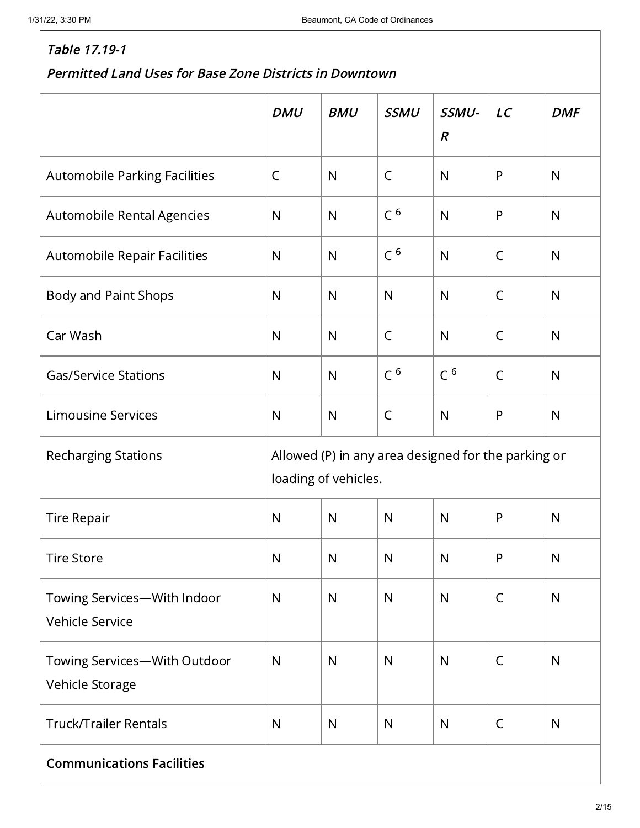|                                                 | <b>DMU</b>                                                                  | <b>BMU</b>   | <b>SSMU</b>    | SSMU-<br>$\boldsymbol{R}$ | LC           | <b>DMF</b>   |  |  |
|-------------------------------------------------|-----------------------------------------------------------------------------|--------------|----------------|---------------------------|--------------|--------------|--|--|
| Automobile Parking Facilities                   | $\mathsf{C}$                                                                | $\mathsf{N}$ | $\mathsf C$    | N                         | $\mathsf{P}$ | N            |  |  |
| Automobile Rental Agencies                      | $\mathsf{N}$                                                                | $\mathsf{N}$ | C <sup>6</sup> | N                         | $\mathsf{P}$ | $\mathsf{N}$ |  |  |
| Automobile Repair Facilities                    | $\mathsf{N}$                                                                | $\mathsf{N}$ | C <sup>6</sup> | $\mathsf{N}$              | $\mathsf C$  | $\mathsf{N}$ |  |  |
| Body and Paint Shops                            | $\mathsf{N}$                                                                | $\mathsf{N}$ | $\mathsf{N}$   | $\mathsf{N}$              | C            | $\mathsf{N}$ |  |  |
| Car Wash                                        | $\mathsf{N}$                                                                | $\mathsf{N}$ | $\mathsf{C}$   | N                         | $\mathsf C$  | $\mathsf{N}$ |  |  |
| <b>Gas/Service Stations</b>                     | $\mathsf{N}$                                                                | $\mathsf{N}$ | C <sup>6</sup> | C <sup>6</sup>            | $\mathsf C$  | $\mathsf{N}$ |  |  |
| <b>Limousine Services</b>                       | $\mathsf{N}$                                                                | $\mathsf{N}$ | $\mathsf C$    | $\mathsf{N}$              | P            | $\mathsf{N}$ |  |  |
| <b>Recharging Stations</b>                      | Allowed (P) in any area designed for the parking or<br>loading of vehicles. |              |                |                           |              |              |  |  |
| <b>Tire Repair</b>                              | $\mathsf{N}$                                                                | $\mathsf{N}$ | $\mathsf{N}$   | $\mathsf{N}$              | $\mathsf{P}$ | $\mathsf{N}$ |  |  |
| <b>Tire Store</b>                               | $\mathsf{N}$                                                                | $\mathsf{N}$ | ${\sf N}$      | $\mathsf{N}$              | P            | $\mathsf{N}$ |  |  |
| Towing Services-With Indoor<br>Vehicle Service  | $\mathsf{N}$                                                                | $\mathsf{N}$ | $\mathsf{N}$   | $\mathsf{N}$              | $\mathsf C$  | $\mathsf{N}$ |  |  |
| Towing Services-With Outdoor<br>Vehicle Storage | $\mathsf{N}$                                                                | $\mathsf{N}$ | $\mathsf{N}$   | $\mathsf{N}$              | $\mathsf C$  | $\mathsf{N}$ |  |  |
| <b>Truck/Trailer Rentals</b>                    | $\mathsf{N}$                                                                | $\mathsf{N}$ | $\mathsf{N}$   | $\mathsf{N}$              | $\mathsf C$  | ${\sf N}$    |  |  |
| <b>Communications Facilities</b>                |                                                                             |              |                |                           |              |              |  |  |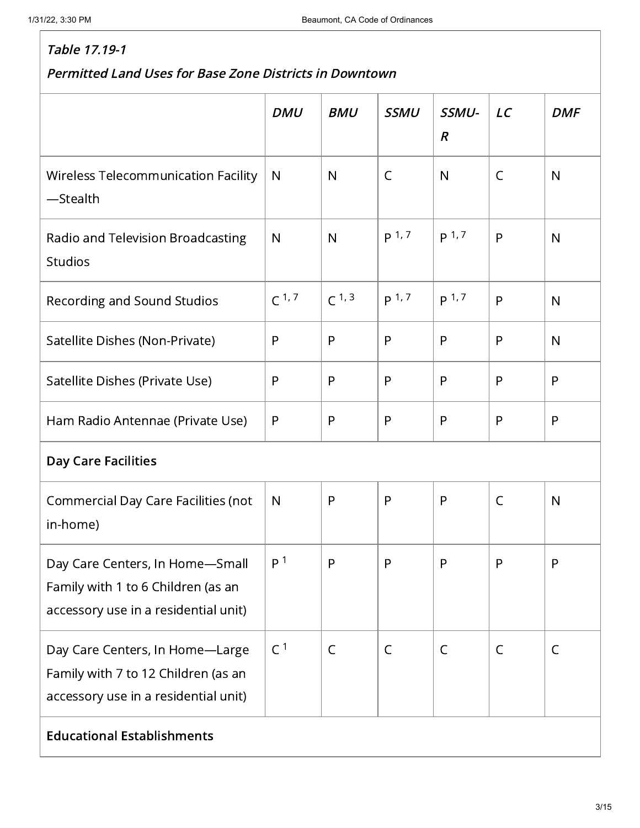|                                                                                                                | <b>DMU</b>     | <b>BMU</b>   | <b>SSMU</b>      | SSMU-<br>$\boldsymbol{R}$ | LC           | <b>DMF</b>   |  |  |
|----------------------------------------------------------------------------------------------------------------|----------------|--------------|------------------|---------------------------|--------------|--------------|--|--|
| <b>Wireless Telecommunication Facility</b><br>-Stealth                                                         | $\mathsf{N}$   | $\mathsf{N}$ | C                | $\mathsf{N}$              | C            | $\mathsf{N}$ |  |  |
| Radio and Television Broadcasting<br><b>Studios</b>                                                            | $\mathsf{N}$   | $\mathsf{N}$ | p <sup>1,7</sup> | p <sup>1,7</sup>          | P            | $\mathsf{N}$ |  |  |
| Recording and Sound Studios                                                                                    | $C^{1,7}$      | $C^{1,3}$    | p <sup>1,7</sup> | p <sup>1,7</sup>          | P            | $\mathsf{N}$ |  |  |
| Satellite Dishes (Non-Private)                                                                                 | P              | P            | P                | P                         | P            | $\mathsf{N}$ |  |  |
| Satellite Dishes (Private Use)                                                                                 | P              | P            | P                | P                         | P            | P            |  |  |
| Ham Radio Antennae (Private Use)                                                                               | P              | P            | $\mathsf{P}$     | P                         | P            | P            |  |  |
| <b>Day Care Facilities</b>                                                                                     |                |              |                  |                           |              |              |  |  |
| Commercial Day Care Facilities (not<br>in-home)                                                                | $\mathsf{N}$   | P            | $\mathsf{P}$     | P                         | $\mathsf C$  | $\mathsf{N}$ |  |  |
| Day Care Centers, In Home-Small<br>Family with 1 to 6 Children (as an<br>accessory use in a residential unit)  | P <sup>1</sup> | P            | $\mathsf{P}$     | P                         | $\mathsf{P}$ | P            |  |  |
| Day Care Centers, In Home-Large<br>Family with 7 to 12 Children (as an<br>accessory use in a residential unit) | C <sup>1</sup> | $\mathsf C$  | $\mathsf{C}$     | $\mathsf{C}$              | $\mathsf{C}$ | C            |  |  |
| <b>Educational Establishments</b>                                                                              |                |              |                  |                           |              |              |  |  |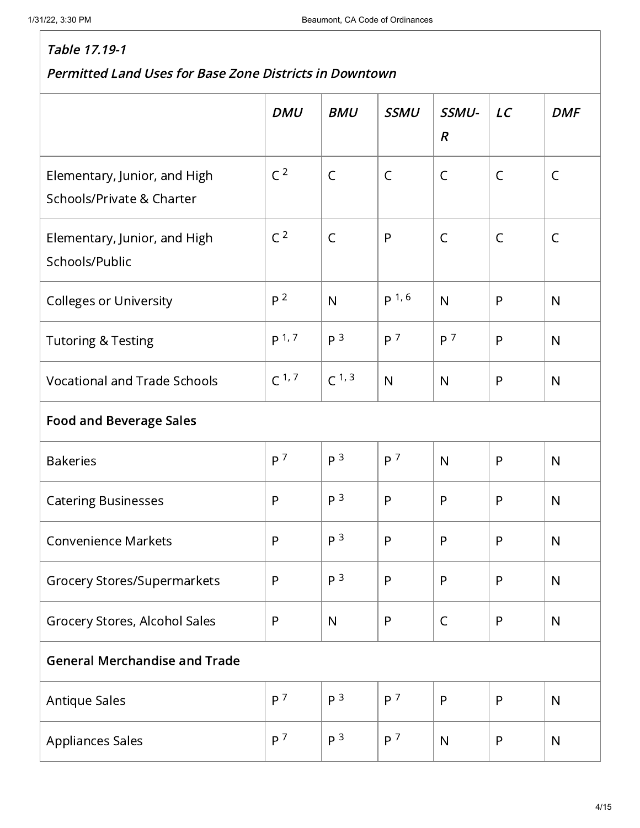|                                                           | <b>DMU</b>       | <b>BMU</b>     | <b>SSMU</b>       | SSMU-<br>$\boldsymbol{R}$ | LC           | <b>DMF</b>   |  |  |
|-----------------------------------------------------------|------------------|----------------|-------------------|---------------------------|--------------|--------------|--|--|
| Elementary, Junior, and High<br>Schools/Private & Charter | C <sup>2</sup>   | $\mathsf{C}$   | $\mathsf C$       | $\mathsf{C}$              | $\mathsf{C}$ | $\mathsf{C}$ |  |  |
| Elementary, Junior, and High<br>Schools/Public            | C <sup>2</sup>   | $\mathsf{C}$   | P                 | $\mathsf{C}$              | $\mathsf{C}$ | $\mathsf{C}$ |  |  |
| <b>Colleges or University</b>                             | P <sup>2</sup>   | N              | p <sup>1, 6</sup> | N                         | P            | $\mathsf{N}$ |  |  |
| <b>Tutoring &amp; Testing</b>                             | p <sup>1,7</sup> | P <sup>3</sup> | P <sup>7</sup>    | P <sup>7</sup>            | P            | $\mathsf{N}$ |  |  |
| <b>Vocational and Trade Schools</b>                       | $C^{1,7}$        | $C^{1,3}$      | $\mathsf{N}$      | N                         | P            | $\mathsf{N}$ |  |  |
| <b>Food and Beverage Sales</b>                            |                  |                |                   |                           |              |              |  |  |
| <b>Bakeries</b>                                           | P <sup>7</sup>   | P <sup>3</sup> | P <sup>7</sup>    | N                         | P            | $\mathsf{N}$ |  |  |
| <b>Catering Businesses</b>                                | $\mathsf{P}$     | P <sup>3</sup> | P                 | P                         | P            | $\mathsf{N}$ |  |  |
| <b>Convenience Markets</b>                                | P                | P <sup>3</sup> | $\mathsf{P}$      | P                         | P            | N            |  |  |
| <b>Grocery Stores/Supermarkets</b>                        | $\mathsf{P}$     | P <sup>3</sup> | $\mathsf{P}$      | P                         | P            | $\mathsf{N}$ |  |  |
| Grocery Stores, Alcohol Sales                             | P                | $\mathsf{N}$   | P                 | $\mathsf{C}$              | P            | N            |  |  |
| <b>General Merchandise and Trade</b>                      |                  |                |                   |                           |              |              |  |  |
| <b>Antique Sales</b>                                      | P <sup>7</sup>   | P <sup>3</sup> | P <sup>7</sup>    | P                         | P            | ${\sf N}$    |  |  |
| <b>Appliances Sales</b>                                   | P <sup>7</sup>   | P <sup>3</sup> | P <sup>7</sup>    | N                         | P            | $\mathsf{N}$ |  |  |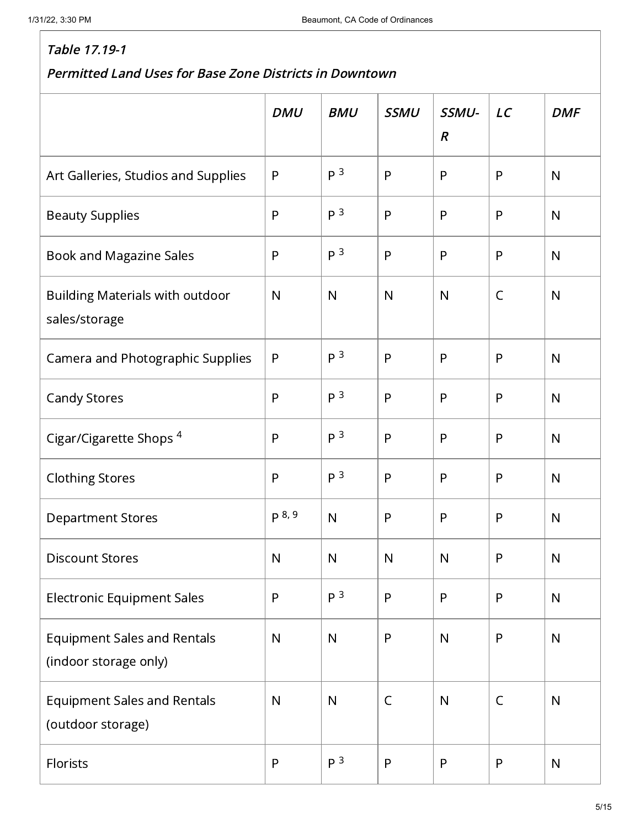|                                                             | <b>DMU</b>   | <b>BMU</b>     | <b>SSMU</b>  | SSMU-<br>$\boldsymbol{R}$ | LC           | <b>DMF</b>   |
|-------------------------------------------------------------|--------------|----------------|--------------|---------------------------|--------------|--------------|
| Art Galleries, Studios and Supplies                         | $\mathsf{P}$ | P <sup>3</sup> | $\mathsf{P}$ | P                         | P            | $\mathsf{N}$ |
| <b>Beauty Supplies</b>                                      | $\mathsf{P}$ | P <sup>3</sup> | $\mathsf{P}$ | $\mathsf{P}$              | P            | $\mathsf{N}$ |
| Book and Magazine Sales                                     | $\mathsf{P}$ | P <sup>3</sup> | $\mathsf{P}$ | $\mathsf{P}$              | P            | ${\sf N}$    |
| <b>Building Materials with outdoor</b><br>sales/storage     | $\mathsf{N}$ | $\mathsf{N}$   | N            | $\mathsf{N}$              | $\mathsf{C}$ | $\mathsf{N}$ |
| Camera and Photographic Supplies                            | $\mathsf{P}$ | P <sup>3</sup> | $\mathsf{P}$ | P                         | P            | $\mathsf{N}$ |
| <b>Candy Stores</b>                                         | $\mathsf{P}$ | P <sup>3</sup> | $\mathsf{P}$ | P                         | P            | $\mathsf{N}$ |
| Cigar/Cigarette Shops <sup>4</sup>                          | $\mathsf{P}$ | P <sup>3</sup> | $\mathsf{P}$ | P                         | P            | $\mathsf{N}$ |
| <b>Clothing Stores</b>                                      | $\mathsf{P}$ | P <sup>3</sup> | ${\sf P}$    | P                         | P            | $\mathsf{N}$ |
| <b>Department Stores</b>                                    | p 8, 9       | $\mathsf{N}$   | $\mathsf{P}$ | $\mathsf{P}$              | P            | ${\sf N}$    |
| <b>Discount Stores</b>                                      | $\mathsf{N}$ | N              | $\mathsf{N}$ | $\mathsf{N}$              | P            | N            |
| <b>Electronic Equipment Sales</b>                           | $\mathsf{P}$ | P <sup>3</sup> | $\mathsf{P}$ | $\mathsf{P}$              | P            | $\mathsf{N}$ |
| <b>Equipment Sales and Rentals</b><br>(indoor storage only) | $\mathsf{N}$ | $\mathsf{N}$   | ${\sf P}$    | ${\sf N}$                 | P            | ${\sf N}$    |
| <b>Equipment Sales and Rentals</b><br>(outdoor storage)     | $\mathsf{N}$ | $\mathsf{N}$   | $\mathsf C$  | ${\sf N}$                 | $\mathsf{C}$ | ${\sf N}$    |
| Florists                                                    | ${\sf P}$    | P <sup>3</sup> | ${\sf P}$    | $\mathsf{P}$              | P            | ${\sf N}$    |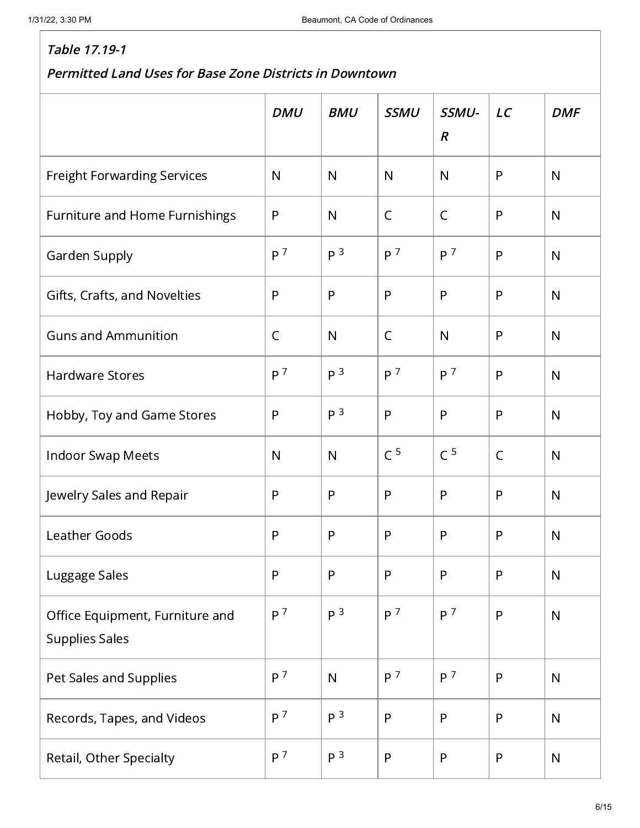|                                                          | <b>DMU</b>     | <b>BMU</b>     | <b>SSMU</b>    | SSMU-<br>$\boldsymbol{R}$ | LC           | <b>DMF</b>   |
|----------------------------------------------------------|----------------|----------------|----------------|---------------------------|--------------|--------------|
| <b>Freight Forwarding Services</b>                       | $\mathsf{N}$   | $\mathsf{N}$   | $\mathsf{N}$   | $\mathsf{N}$              | P            | $\mathsf{N}$ |
| Furniture and Home Furnishings                           | $\mathsf{P}$   | $\mathsf{N}$   | $\mathsf C$    | $\mathsf{C}$              | P            | $\mathsf{N}$ |
| Garden Supply                                            | P <sup>7</sup> | P <sup>3</sup> | P <sup>7</sup> | P <sup>7</sup>            | P            | $\mathsf{N}$ |
| Gifts, Crafts, and Novelties                             | P              | P              | $\mathsf{P}$   | P                         | P            | $\mathsf{N}$ |
| <b>Guns and Ammunition</b>                               | $\mathsf{C}$   | $\mathsf{N}$   | $\mathsf{C}$   | $\mathsf{N}$              | P            | $\mathsf{N}$ |
| <b>Hardware Stores</b>                                   | P <sup>7</sup> | P <sup>3</sup> | P <sup>7</sup> | P <sup>7</sup>            | P            | $\mathsf{N}$ |
| Hobby, Toy and Game Stores                               | P              | P <sup>3</sup> | $\mathsf{P}$   | P                         | P            | $\mathsf{N}$ |
| <b>Indoor Swap Meets</b>                                 | $\mathsf{N}$   | $\mathsf{N}$   | C <sup>5</sup> | C <sup>5</sup>            | $\mathsf{C}$ | $\mathsf{N}$ |
| Jewelry Sales and Repair                                 | $\mathsf{P}$   | P              | $\mathsf{P}$   | P                         | P            | $\mathsf{N}$ |
| <b>Leather Goods</b>                                     | P              | P              | $\mathsf{P}$   | P                         | P            | $\mathsf{N}$ |
| Luggage Sales                                            | P              | P              | $\mathsf{P}$   | P                         | P            | $\mathsf{N}$ |
| Office Equipment, Furniture and<br><b>Supplies Sales</b> | P <sup>7</sup> | P <sup>3</sup> | P <sup>7</sup> | P <sup>7</sup>            | $\mathsf{P}$ | ${\sf N}$    |
| Pet Sales and Supplies                                   | P <sup>7</sup> | $\mathsf{N}$   | P <sup>7</sup> | P <sup>7</sup>            | $\mathsf{P}$ | ${\sf N}$    |
| Records, Tapes, and Videos                               | P <sup>7</sup> | P <sup>3</sup> | $\mathsf{P}$   | $\mathsf{P}$              | P            | $\mathsf{N}$ |
| Retail, Other Specialty                                  | P <sup>7</sup> | P <sup>3</sup> | $\mathsf{P}$   | P                         | P            | $\mathsf{N}$ |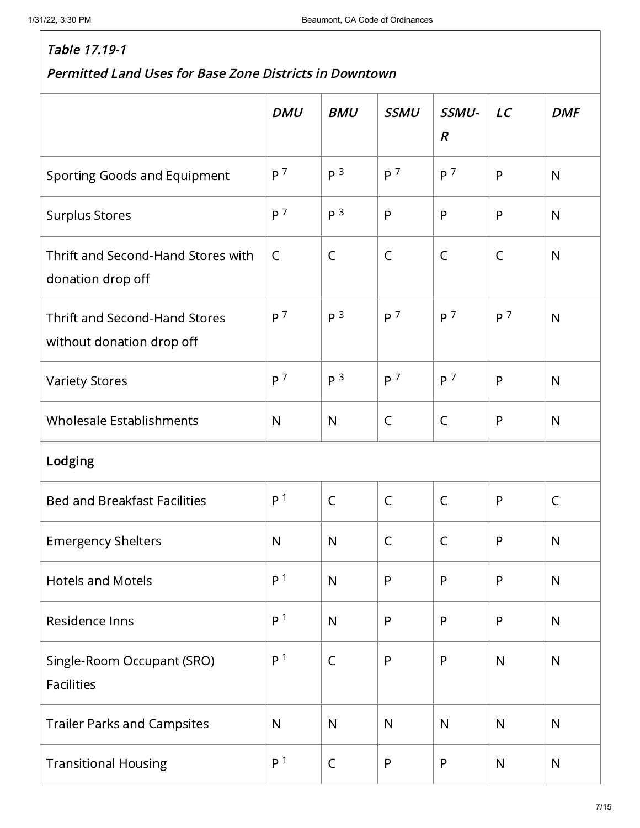|                                                                   | <b>DMU</b>     | <b>BMU</b>     | <b>SSMU</b>    | SSMU-            | LC             | <b>DMF</b>   |
|-------------------------------------------------------------------|----------------|----------------|----------------|------------------|----------------|--------------|
|                                                                   |                |                |                | $\boldsymbol{R}$ |                |              |
| Sporting Goods and Equipment                                      | P <sup>7</sup> | p <sup>3</sup> | P <sup>7</sup> | P <sup>7</sup>   | P              | N            |
| <b>Surplus Stores</b>                                             | P <sup>7</sup> | P <sup>3</sup> | P              | P                | P              | N            |
| Thrift and Second-Hand Stores with<br>donation drop off           | $\mathsf{C}$   | $\mathsf{C}$   | $\mathsf C$    | $\mathsf{C}$     | $\mathsf C$    | N            |
| <b>Thrift and Second-Hand Stores</b><br>without donation drop off | P <sup>7</sup> | P <sup>3</sup> | P <sup>7</sup> | P <sup>7</sup>   | P <sup>7</sup> | N            |
| <b>Variety Stores</b>                                             | P <sup>7</sup> | P <sup>3</sup> | P <sup>7</sup> | P <sup>7</sup>   | P              | N            |
| <b>Wholesale Establishments</b>                                   | $\mathsf{N}$   | $\mathsf{N}$   | $\mathsf{C}$   | $\mathsf{C}$     | $\mathsf{P}$   | N            |
| Lodging                                                           |                |                |                |                  |                |              |
| <b>Bed and Breakfast Facilities</b>                               | P <sup>1</sup> | $\mathsf{C}$   | $\mathsf C$    | $\mathsf C$      | $\mathsf{P}$   | $\mathsf{C}$ |
| <b>Emergency Shelters</b>                                         | $\mathsf{N}$   | $\mathsf{N}$   | C              | C                | $\mathsf{P}$   | N            |
| <b>Hotels and Motels</b>                                          | P <sup>1</sup> | $\mathsf{N}$   | $\mathsf{P}$   | $\mathsf{P}$     | $\mathsf{P}$   | N            |
| Residence Inns                                                    | P <sup>1</sup> | $\mathsf{N}$   | $\mathsf{P}$   | $\mathsf{P}$     | $\mathsf{P}$   | N            |
| Single-Room Occupant (SRO)<br><b>Facilities</b>                   | P <sup>1</sup> | $\mathsf{C}$   | P              | $\mathsf{P}$     | $\mathsf{N}$   | $\mathsf{N}$ |
| <b>Trailer Parks and Campsites</b>                                | $\mathsf{N}$   | $\mathsf{N}$   | $\mathsf{N}$   | $\mathsf{N}$     | $\mathsf{N}$   | $\mathsf{N}$ |
| <b>Transitional Housing</b>                                       | P <sup>1</sup> | $\mathsf C$    | ${\sf P}$      | $\mathsf{P}$     | ${\sf N}$      | N            |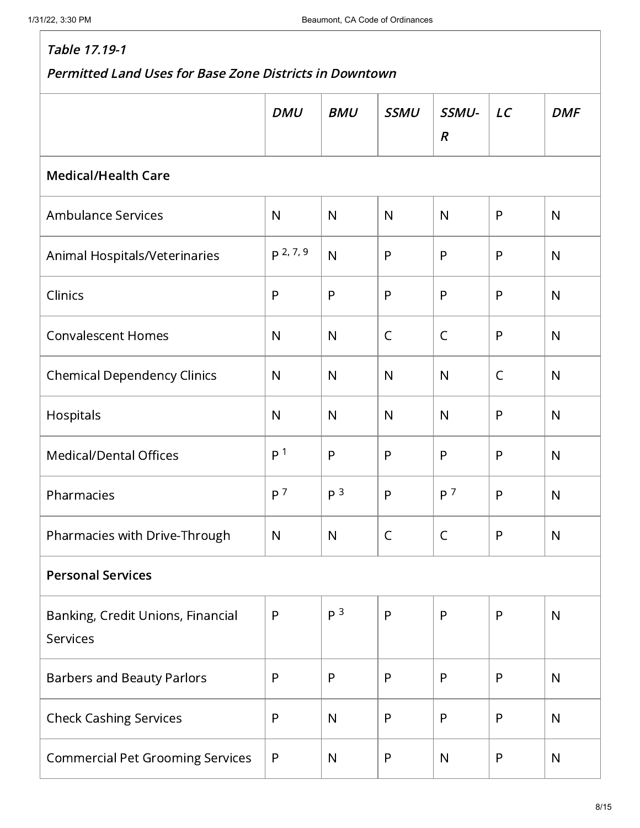|                                                      | <b>DMU</b>     | <b>BMU</b>     | <b>SSMU</b>  | SSMU-<br>$\boldsymbol{R}$ | LC           | <b>DMF</b>   |  |  |  |
|------------------------------------------------------|----------------|----------------|--------------|---------------------------|--------------|--------------|--|--|--|
| <b>Medical/Health Care</b>                           |                |                |              |                           |              |              |  |  |  |
| <b>Ambulance Services</b>                            | $\mathsf{N}$   | $\mathsf{N}$   | $\mathsf{N}$ | N                         | $\mathsf{P}$ | $\mathsf{N}$ |  |  |  |
| Animal Hospitals/Veterinaries                        | p 2, 7, 9      | N              | P            | P                         | $\mathsf{P}$ | $\mathsf{N}$ |  |  |  |
| Clinics                                              | $\mathsf{P}$   | P              | $\mathsf{P}$ | P                         | $\mathsf{P}$ | $\mathsf{N}$ |  |  |  |
| <b>Convalescent Homes</b>                            | $\mathsf{N}$   | N              | $\mathsf{C}$ | $\mathsf{C}$              | P            | $\mathsf{N}$ |  |  |  |
| <b>Chemical Dependency Clinics</b>                   | $\mathsf{N}$   | $\mathsf{N}$   | N            | $\mathsf{N}$              | $\mathsf{C}$ | N            |  |  |  |
| Hospitals                                            | $\mathsf{N}$   | N              | $\mathsf{N}$ | N                         | $\mathsf{P}$ | N            |  |  |  |
| <b>Medical/Dental Offices</b>                        | P <sup>1</sup> | P              | $\mathsf{P}$ | P                         | P            | $\mathsf{N}$ |  |  |  |
| Pharmacies                                           | P <sup>7</sup> | P <sup>3</sup> | $\mathsf{P}$ | P <sup>7</sup>            | P            | $\mathsf{N}$ |  |  |  |
| Pharmacies with Drive-Through                        | $\mathsf{N}$   | N              | $\mathsf C$  | $\mathsf{C}$              | $\mathsf{P}$ | N            |  |  |  |
| <b>Personal Services</b>                             |                |                |              |                           |              |              |  |  |  |
| Banking, Credit Unions, Financial<br><b>Services</b> | $\mathsf{P}$   | P <sup>3</sup> | $\mathsf{P}$ | P                         | $\mathsf{P}$ | $\mathsf{N}$ |  |  |  |
| <b>Barbers and Beauty Parlors</b>                    | $\mathsf{P}$   | P              | $\mathsf{P}$ | P                         | $\mathsf{P}$ | N            |  |  |  |
| <b>Check Cashing Services</b>                        | $\mathsf{P}$   | $\mathsf{N}$   | ${\sf P}$    | P                         | $\mathsf{P}$ | $\mathsf{N}$ |  |  |  |
| <b>Commercial Pet Grooming Services</b>              | P              | $\mathsf{N}$   | P            | $\mathsf{N}$              | $\mathsf{P}$ | $\mathsf{N}$ |  |  |  |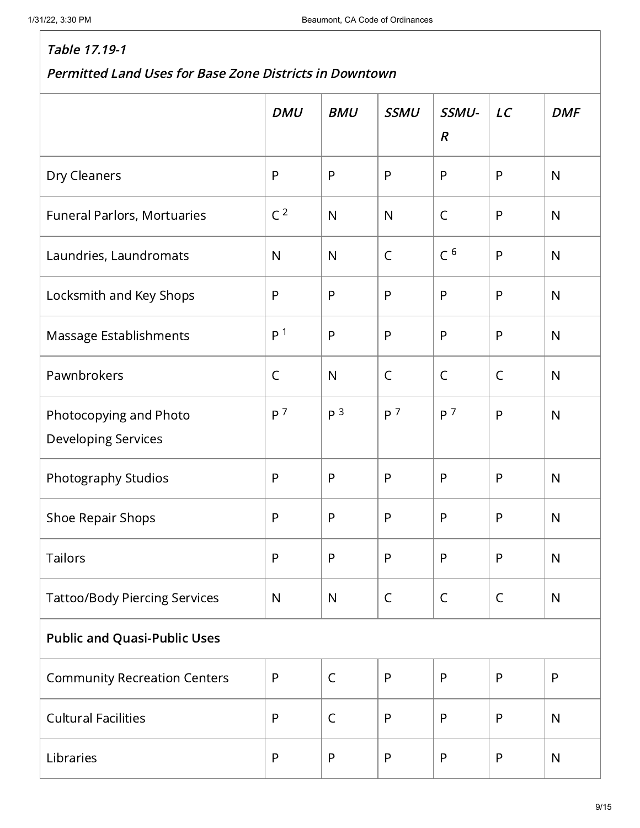|                                                      | <b>DMU</b>     | <b>BMU</b>     | <b>SSMU</b>    | SSMU-<br>$\boldsymbol{R}$ | LC           | <b>DMF</b>   |
|------------------------------------------------------|----------------|----------------|----------------|---------------------------|--------------|--------------|
| Dry Cleaners                                         | $\mathsf{P}$   | P              | $\mathsf{P}$   | P                         | $\mathsf{P}$ | N            |
| Funeral Parlors, Mortuaries                          | C <sup>2</sup> | $\mathsf{N}$   | N              | $\mathsf C$               | $\mathsf{P}$ | N            |
| Laundries, Laundromats                               | $\mathsf{N}$   | $\mathsf{N}$   | $\mathsf C$    | C <sup>6</sup>            | $\mathsf{P}$ | N            |
| Locksmith and Key Shops                              | $\mathsf{P}$   | P              | $\mathsf{P}$   | P                         | $\mathsf{P}$ | $\mathsf{N}$ |
| Massage Establishments                               | P <sup>1</sup> | P              | $\mathsf{P}$   | P                         | $\mathsf{P}$ | N            |
| Pawnbrokers                                          | $\mathsf C$    | $\mathsf{N}$   | $\mathsf C$    | $\mathsf C$               | $\mathsf C$  | N            |
| Photocopying and Photo<br><b>Developing Services</b> | P <sup>7</sup> | P <sup>3</sup> | P <sup>7</sup> | P <sup>7</sup>            | $\mathsf{P}$ | N            |
| Photography Studios                                  | $\mathsf{P}$   | P              | $\mathsf{P}$   | P                         | P            | N            |
| Shoe Repair Shops                                    | $\mathsf{P}$   | $\mathsf{P}$   | $\mathsf{P}$   | $\mathsf{P}$              | $\mathsf{P}$ | $\mathsf{N}$ |
| Tailors                                              | ${\sf P}$      | P              | P              | P                         | P            | ${\sf N}$    |
| <b>Tattoo/Body Piercing Services</b>                 | $\mathsf{N}$   | $\mathsf{N}$   | $\mathsf C$    | $\mathsf C$               | $\mathsf C$  | $\mathsf{N}$ |
| <b>Public and Quasi-Public Uses</b>                  |                |                |                |                           |              |              |
| <b>Community Recreation Centers</b>                  | $\mathsf{P}$   | $\mathsf{C}$   | ${\sf P}$      | $\mathsf{P}$              | $\mathsf{P}$ | $\mathsf{P}$ |
| <b>Cultural Facilities</b>                           | $\mathsf{P}$   | $\mathsf{C}$   | $\mathsf{P}$   | P                         | P            | $\mathsf{N}$ |
| Libraries                                            | $\mathsf{P}$   | $\mathsf{P}$   | ${\sf P}$      | P                         | ${\sf P}$    | $\mathsf{N}$ |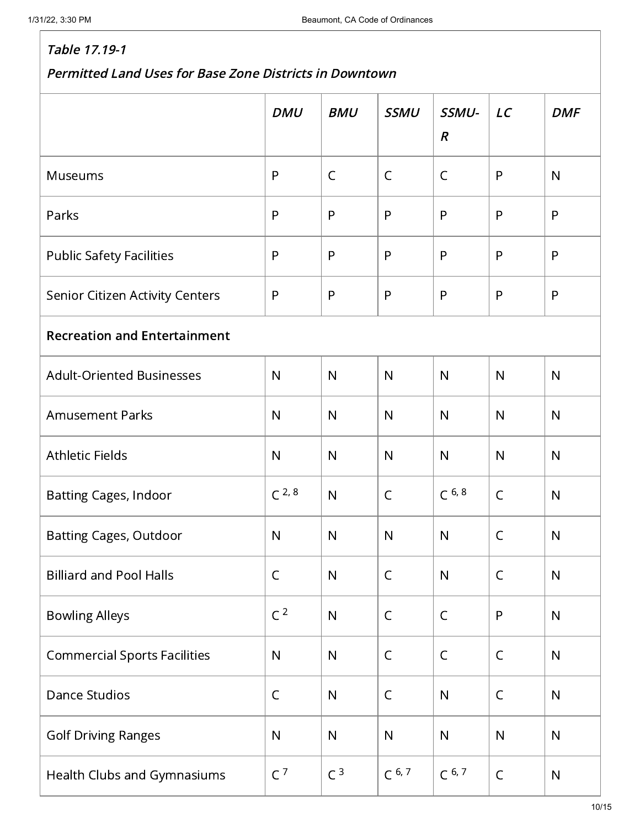|                                     | <b>DMU</b>     | <b>BMU</b>     | <b>SSMU</b>  | SSMU-<br>$\boldsymbol{R}$ | LC           | <b>DMF</b>   |  |  |  |
|-------------------------------------|----------------|----------------|--------------|---------------------------|--------------|--------------|--|--|--|
| <b>Museums</b>                      | $\mathsf{P}$   | $\mathsf{C}$   | $\mathsf C$  | $\mathsf{C}$              | P            | $\mathsf{N}$ |  |  |  |
| Parks                               | $\mathsf{P}$   | P              | $\mathsf{P}$ | P                         | P            | P            |  |  |  |
| <b>Public Safety Facilities</b>     | $\mathsf{P}$   | P              | $\mathsf{P}$ | P                         | $\mathsf{P}$ | P            |  |  |  |
| Senior Citizen Activity Centers     | $\mathsf{P}$   | P              | $\mathsf{P}$ | P                         | P            | P            |  |  |  |
| <b>Recreation and Entertainment</b> |                |                |              |                           |              |              |  |  |  |
| <b>Adult-Oriented Businesses</b>    | $\mathsf{N}$   | $\mathsf{N}$   | $\mathsf{N}$ | N                         | $\mathsf{N}$ | $\mathsf{N}$ |  |  |  |
| <b>Amusement Parks</b>              | $\mathsf{N}$   | $\mathsf{N}$   | $\mathsf{N}$ | $\mathsf{N}$              | $\mathsf{N}$ | $\mathsf{N}$ |  |  |  |
| <b>Athletic Fields</b>              | $\mathsf{N}$   | $\mathsf{N}$   | $\mathsf{N}$ | $\mathsf{N}$              | $\mathsf{N}$ | $\mathsf{N}$ |  |  |  |
| <b>Batting Cages, Indoor</b>        | $C^{2,8}$      | $\mathsf{N}$   | $\mathsf{C}$ | $C^{6, 8}$                | $\mathsf{C}$ | $\mathsf{N}$ |  |  |  |
| <b>Batting Cages, Outdoor</b>       | $\mathsf{N}$   | $\mathsf{N}$   | $\mathsf{N}$ | $\mathsf{N}$              | C            | $\mathsf{N}$ |  |  |  |
| <b>Billiard and Pool Halls</b>      | $\mathsf C$    | $\mathsf{N}$   | $\mathsf C$  | $\mathsf{N}$              | $\mathsf C$  | $\mathsf{N}$ |  |  |  |
| <b>Bowling Alleys</b>               | C <sup>2</sup> | ${\sf N}$      | $\mathsf C$  | $\mathsf{C}$              | ${\sf P}$    | N            |  |  |  |
| <b>Commercial Sports Facilities</b> | $\mathsf{N}$   | $\mathsf{N}$   | $\mathsf C$  | $\mathsf{C}$              | $\mathsf{C}$ | $\mathsf{N}$ |  |  |  |
| <b>Dance Studios</b>                | $\mathsf C$    | ${\sf N}$      | $\mathsf C$  | N                         | $\mathsf C$  | ${\sf N}$    |  |  |  |
| <b>Golf Driving Ranges</b>          | $\mathsf{N}$   | $\mathsf{N}$   | ${\sf N}$    | ${\sf N}$                 | $\mathsf{N}$ | N            |  |  |  |
| Health Clubs and Gymnasiums         | C <sup>7</sup> | C <sup>3</sup> | $C^{6,7}$    | $C^{6,7}$                 | $\mathsf C$  | ${\sf N}$    |  |  |  |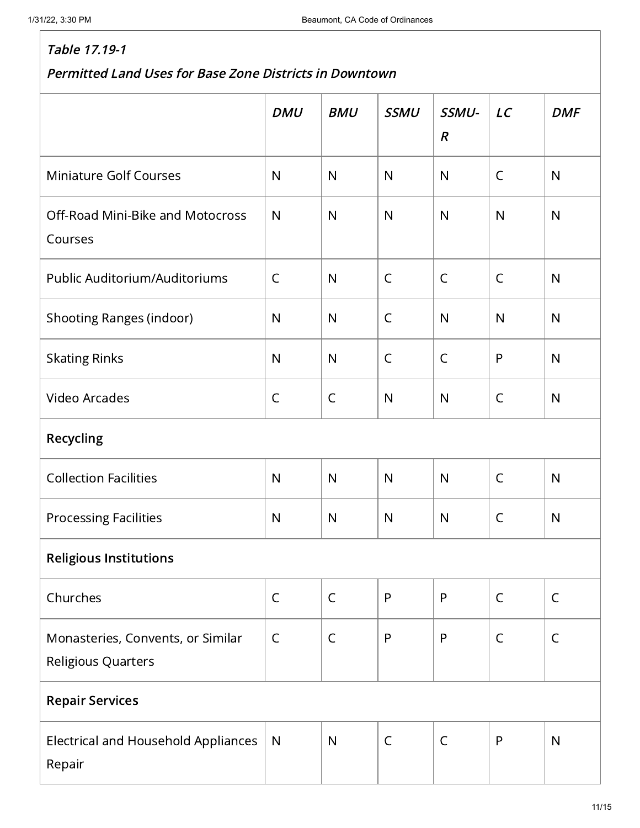|                                                         | <b>DMU</b>   | <b>BMU</b>   | <b>SSMU</b>  | SSMU-<br>$\boldsymbol{R}$ | LC           | <b>DMF</b>   |  |  |
|---------------------------------------------------------|--------------|--------------|--------------|---------------------------|--------------|--------------|--|--|
| <b>Miniature Golf Courses</b>                           | $\mathsf{N}$ | $\mathsf{N}$ | $\mathsf{N}$ | N                         | $\mathsf{C}$ | $\mathsf{N}$ |  |  |
| Off-Road Mini-Bike and Motocross<br>Courses             | $\mathsf{N}$ | $\mathsf{N}$ | $\mathsf{N}$ | $\mathsf{N}$              | $\mathsf{N}$ | $\mathsf{N}$ |  |  |
| Public Auditorium/Auditoriums                           | $\mathsf C$  | $\mathsf{N}$ | $\mathsf C$  | $\mathsf C$               | $\mathsf C$  | $\mathsf{N}$ |  |  |
| <b>Shooting Ranges (indoor)</b>                         | $\mathsf{N}$ | $\mathsf{N}$ | $\mathsf C$  | $\mathsf{N}$              | $\mathsf{N}$ | $\mathsf{N}$ |  |  |
| <b>Skating Rinks</b>                                    | $\mathsf{N}$ | $\mathsf{N}$ | $\mathsf{C}$ | $\mathsf{C}$              | $\mathsf{P}$ | $\mathsf{N}$ |  |  |
| <b>Video Arcades</b>                                    | $\mathsf C$  | $\mathsf C$  | $\mathsf{N}$ | ${\sf N}$                 | $\mathsf{C}$ | $\mathsf{N}$ |  |  |
| Recycling                                               |              |              |              |                           |              |              |  |  |
| <b>Collection Facilities</b>                            | $\mathsf{N}$ | $\mathsf{N}$ | $\mathsf{N}$ | $\mathsf{N}$              | $\mathsf C$  | $\mathsf{N}$ |  |  |
| <b>Processing Facilities</b>                            | $\mathsf{N}$ | $\mathsf{N}$ | $\mathsf{N}$ | ${\sf N}$                 | $\mathsf C$  | $\mathsf{N}$ |  |  |
| <b>Religious Institutions</b>                           |              |              |              |                           |              |              |  |  |
| Churches                                                | $\mathsf C$  | $\mathsf C$  | ${\sf P}$    | P                         | $\mathsf C$  | $\mathsf C$  |  |  |
| Monasteries, Convents, or Similar<br>Religious Quarters | $\mathsf C$  | $\mathsf C$  | $\mathsf{P}$ | P                         | $\mathsf C$  | $\mathsf{C}$ |  |  |
| <b>Repair Services</b>                                  |              |              |              |                           |              |              |  |  |
| <b>Electrical and Household Appliances</b><br>Repair    | $\mathsf{N}$ | $\mathsf{N}$ | $\mathsf C$  | $\mathsf C$               | $\mathsf{P}$ | $\mathsf{N}$ |  |  |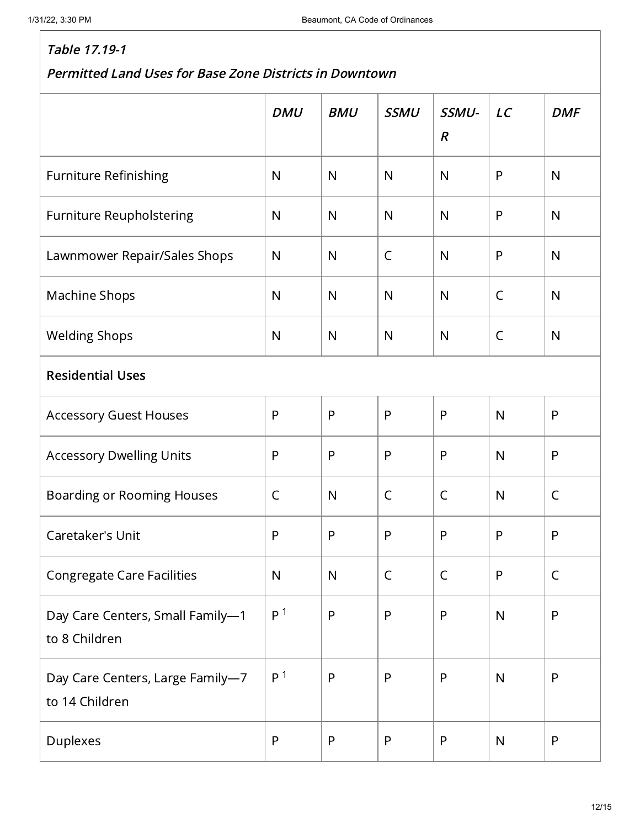|                                                    | <b>DMU</b>     | <b>BMU</b>   | <b>SSMU</b>  | SSMU-<br>$\boldsymbol{R}$ | LC           | <b>DMF</b>   |  |  |
|----------------------------------------------------|----------------|--------------|--------------|---------------------------|--------------|--------------|--|--|
| <b>Furniture Refinishing</b>                       | $\mathsf{N}$   | N            | $\mathsf{N}$ | N                         | P            | $\mathsf{N}$ |  |  |
| <b>Furniture Reupholstering</b>                    | $\mathsf{N}$   | N            | $\mathsf{N}$ | N                         | $\mathsf{P}$ | N            |  |  |
| Lawnmower Repair/Sales Shops                       | $\mathsf{N}$   | N            | $\mathsf{C}$ | N                         | P            | N            |  |  |
| Machine Shops                                      | $\mathsf{N}$   | N            | $\mathsf{N}$ | N                         | $\mathsf{C}$ | N            |  |  |
| <b>Welding Shops</b>                               | $\mathsf{N}$   | N            | $\mathsf{N}$ | $\mathsf{N}$              | C            | N            |  |  |
| <b>Residential Uses</b>                            |                |              |              |                           |              |              |  |  |
| <b>Accessory Guest Houses</b>                      | $\mathsf{P}$   | P            | $\mathsf{P}$ | P                         | $\mathsf{N}$ | P            |  |  |
| <b>Accessory Dwelling Units</b>                    | $\mathsf{P}$   | P            | $\mathsf{P}$ | P                         | $\mathsf{N}$ | P            |  |  |
| <b>Boarding or Rooming Houses</b>                  | $\mathsf C$    | N            | $\mathsf C$  | $\mathsf C$               | $\mathsf{N}$ | $\mathsf{C}$ |  |  |
| Caretaker's Unit                                   | $\mathsf{P}$   | P            | $\mathsf{P}$ | P                         | P            | P            |  |  |
| <b>Congregate Care Facilities</b>                  | $\mathsf{N}$   | $\mathsf{N}$ | $\mathsf{C}$ | $\mathsf{C}$              | $\mathsf{P}$ | $\mathsf{C}$ |  |  |
| Day Care Centers, Small Family-1<br>to 8 Children  | P <sup>1</sup> | P            | $\mathsf{P}$ | $\mathsf{P}$              | $\mathsf{N}$ | $\mathsf{P}$ |  |  |
| Day Care Centers, Large Family-7<br>to 14 Children | P <sup>1</sup> | P            | $\mathsf{P}$ | $\mathsf{P}$              | $\mathsf{N}$ | P            |  |  |
| Duplexes                                           | $\mathsf{P}$   | P            | ${\sf P}$    | $\mathsf{P}$              | $\mathsf{N}$ | $\mathsf{P}$ |  |  |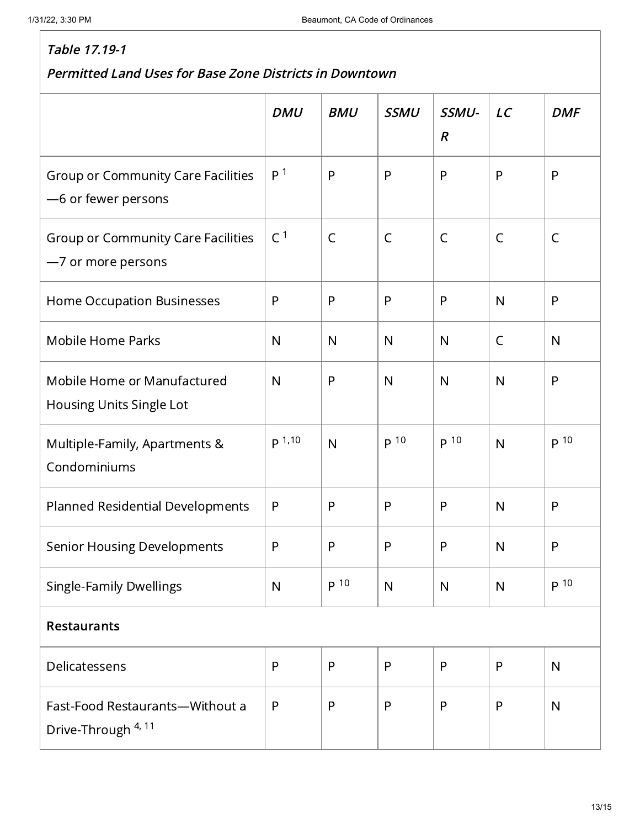|                                                                   | <b>DMU</b>     | <b>BMU</b>   | <b>SSMU</b>  | SSMU-<br>$\boldsymbol{R}$ | LC           | <b>DMF</b>   |  |
|-------------------------------------------------------------------|----------------|--------------|--------------|---------------------------|--------------|--------------|--|
| <b>Group or Community Care Facilities</b><br>-6 or fewer persons  | P <sup>1</sup> | P            | P            | P                         | P            | P            |  |
| Group or Community Care Facilities<br>-7 or more persons          | C <sup>1</sup> | $\mathsf{C}$ | $\mathsf{C}$ | $\mathsf{C}$              | $\mathsf{C}$ | $\mathsf{C}$ |  |
| Home Occupation Businesses                                        | P              | P            | $\mathsf{P}$ | P                         | $\mathsf{N}$ | P            |  |
| <b>Mobile Home Parks</b>                                          | $\mathsf{N}$   | $\mathsf{N}$ | $\mathsf{N}$ | N                         | $\mathsf{C}$ | N            |  |
| Mobile Home or Manufactured<br>Housing Units Single Lot           | $\mathsf{N}$   | P            | $\mathsf{N}$ | $\mathsf{N}$              | $\mathsf{N}$ | P            |  |
| Multiple-Family, Apartments &<br>Condominiums                     | p 1,10         | $\mathsf{N}$ | p 10         | p <sup>10</sup>           | $\mathsf{N}$ | p 10         |  |
| <b>Planned Residential Developments</b>                           | $\mathsf{P}$   | P            | $\mathsf{P}$ | P                         | $\mathsf{N}$ | P            |  |
| <b>Senior Housing Developments</b>                                | P              | P            | $\mathsf{P}$ | P                         | $\mathsf{N}$ | P            |  |
| <b>Single-Family Dwellings</b>                                    | N              | p 10         | $\mathsf{N}$ | $\mathsf{N}$              | N            | p 10         |  |
| <b>Restaurants</b>                                                |                |              |              |                           |              |              |  |
| Delicatessens                                                     | P              | P            | $\mathsf{P}$ | P                         | P            | N            |  |
| Fast-Food Restaurants-Without a<br>Drive-Through <sup>4, 11</sup> | $\mathsf{P}$   | P            | $\mathsf{P}$ | P                         | $\mathsf{P}$ | $\mathsf{N}$ |  |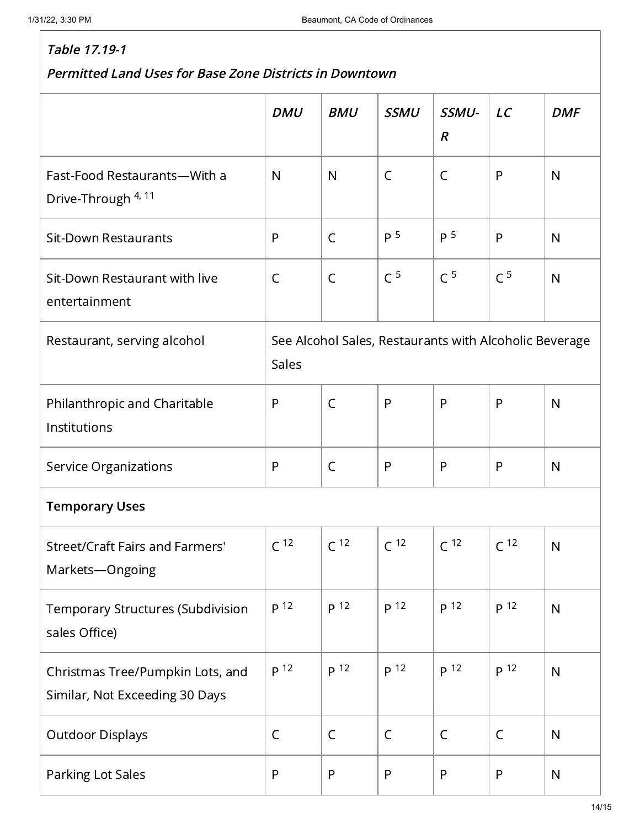|                                                                    | <b>DMU</b>                                                      | <b>BMU</b>      | <b>SSMU</b>     | SSMU-<br>$\boldsymbol{R}$ | LC              | <b>DMF</b>   |  |
|--------------------------------------------------------------------|-----------------------------------------------------------------|-----------------|-----------------|---------------------------|-----------------|--------------|--|
|                                                                    |                                                                 |                 |                 |                           |                 |              |  |
| Fast-Food Restaurants-With a<br>Drive-Through 4, 11                | $\mathsf{N}$                                                    | $\mathsf{N}$    | $\mathsf C$     | $\mathsf C$               | P               | $\mathsf{N}$ |  |
| <b>Sit-Down Restaurants</b>                                        | P                                                               | $\mathsf{C}$    | p <sub>5</sub>  | P <sup>5</sup>            | P               | $\mathsf{N}$ |  |
| Sit-Down Restaurant with live<br>entertainment                     | $\mathsf{C}$                                                    | $\mathsf{C}$    | C <sup>5</sup>  | C <sup>5</sup>            | C <sup>5</sup>  | N            |  |
| Restaurant, serving alcohol                                        | See Alcohol Sales, Restaurants with Alcoholic Beverage<br>Sales |                 |                 |                           |                 |              |  |
| Philanthropic and Charitable<br>Institutions                       | $\mathsf{P}$                                                    | $\mathsf{C}$    | $\mathsf{P}$    | P                         | $\mathsf{P}$    | $\mathsf{N}$ |  |
| <b>Service Organizations</b>                                       | $\mathsf{P}$                                                    | $\mathsf{C}$    | P               | P                         | $\mathsf{P}$    | N            |  |
| <b>Temporary Uses</b>                                              |                                                                 |                 |                 |                           |                 |              |  |
| Street/Craft Fairs and Farmers'<br>Markets-Ongoing                 | C <sup>12</sup>                                                 | C <sup>12</sup> | C <sup>12</sup> | C <sup>12</sup>           | C <sup>12</sup> | N            |  |
| Temporary Structures (Subdivision<br>sales Office)                 | p 12                                                            | p 12            | p <sup>12</sup> | P <sup>12</sup>           | p 12            | $\mathsf{N}$ |  |
| Christmas Tree/Pumpkin Lots, and<br>Similar, Not Exceeding 30 Days | p 12                                                            | p 12            | p <sup>12</sup> | P <sup>12</sup>           | p 12            | N            |  |
| <b>Outdoor Displays</b>                                            | $\mathsf C$                                                     | $\mathsf{C}$    | $\mathsf C$     | $\mathsf C$               | $\mathsf C$     | $\mathsf{N}$ |  |
| Parking Lot Sales                                                  | $\mathsf{P}$                                                    | P               | $\mathsf{P}$    | P                         | P               | $\mathsf{N}$ |  |